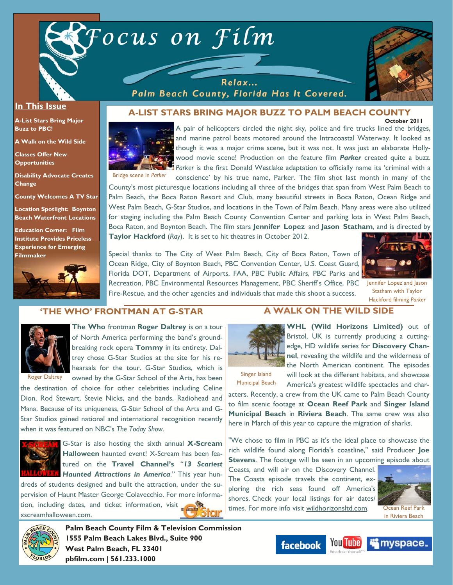



#### **In This Issue**

**A-List Stars Bring Major Buzz to PBC!** 

**A Walk on the Wild Side** 

**Classes Offer New Opportunities** 

**Disability Advocate Creates Change** 

**County Welcomes A TV Star** 

**Location Spotlight: Boynton Beach Waterfront Locations** 

**Education Corner: Film Institute Provides Priceless Experience for Emerging Filmmaker**



Relax... Palm Beach County, Florida Has It Covered.

#### **October 2011 A-LIST STARS BRING MAJOR BUZZ TO PALM BEACH COUNTY**



A pair of helicopters circled the night sky, police and fire trucks lined the bridges, and marine patrol boats motored around the Intracoastal Waterway. It looked as though it was a major crime scene, but it was not. It was just an elaborate Hollywood movie scene! Production on the feature film *Parker* created quite a buzz. **Parker** is the first Donald Westlake adaptation to officially name its 'criminal with a conscience' by his true name, Parker. The film shot last month in many of the

County's most picturesque locations including all three of the bridges that span from West Palm Beach to Palm Beach, the Boca Raton Resort and Club, many beautiful streets in Boca Raton, Ocean Ridge and West Palm Beach, G-Star Studios, and locations in the Town of Palm Beach. Many areas were also utilized for staging including the Palm Beach County Convention Center and parking lots in West Palm Beach, Boca Raton, and Boynton Beach. The film stars **Jennifer Lopez** and **Jason Statham**, and is directed by **Taylor Hackford** (*Ray*). It is set to hit theatres in October 2012.

Special thanks to The City of West Palm Beach, City of Boca Raton, Town of Ocean Ridge, City of Boynton Beach, PBC Convention Center, U.S. Coast Guard, Florida DOT, Department of Airports, FAA, PBC Public Affairs, PBC Parks and Recreation, PBC Environmental Resources Management, PBC Sheriff's Office, PBC Jennifer Lopez and Jason Fire-Rescue, and the other agencies and individuals that made this shoot a success.



Statham with Taylor Hackford filming *Parker*

### **'THE WHO' FRONTMAN AT G-STAR**



**The Who** frontman **Roger Daltrey** is on a tour of North America performing the band's groundbreaking rock opera **Tommy** in its entirety. Daltrey chose G-Star Studios at the site for his re-

Roger Daltrey

hearsals for the tour. G-Star Studios, which is owned by the G-Star School of the Arts, has been the destination of choice for other celebrities including Celine

Dion, Rod Stewart, Stevie Nicks, and the bands, Radiohead and Mana. Because of its uniqueness, G-Star School of the Arts and G-Star Studios gained national and international recognition recently when it was featured on NBC's *The Today Show*.



G-Star is also hosting the sixth annual **X-Scream Halloween** haunted event! X-Scream has been featured on the **Travel Channel's** "*13 Scariest Haunted Attractions in America*." This year hun-

dreds of students designed and built the attraction, under the supervision of Haunt Master George Colavecchio. For more information, including dates, and ticket information, visit xscreamhalloween.com.



**Palm Beach County Film & Television Commission 1555 Palm Beach Lakes Blvd., Suite 900 West Palm Beach, FL 33401 pbfilm.com | 561.233.1000** 

## **A WALK ON THE WILD SIDE**



**WHL (Wild Horizons Limited)** out of Bristol, UK is currently producing a cuttingedge, HD wildlife series for **Discovery Channel**, revealing the wildlife and the wilderness of the North American continent. The episodes

Singer Island Municipal Beach will look at the different habitats, and showcase America's greatest wildlife spectacles and char-

acters. Recently, a crew from the UK came to Palm Beach County to film scenic footage at **Ocean Reef Park** and **Singer Island Municipal Beach** in **Riviera Beach**. The same crew was also here in March of this year to capture the migration of sharks.

"We chose to film in PBC as it's the ideal place to showcase the rich wildlife found along Florida's coastline," said Producer **Joe Stevens**. The footage will be seen in an upcoming episode about

Coasts, and will air on the Discovery Channel. The Coasts episode travels the continent, exploring the rich seas found off America's shores. Check your local listings for air dates/ times. For more info visit wildhorizonsltd.com.



Ocean Reef Park in Riviera Beach

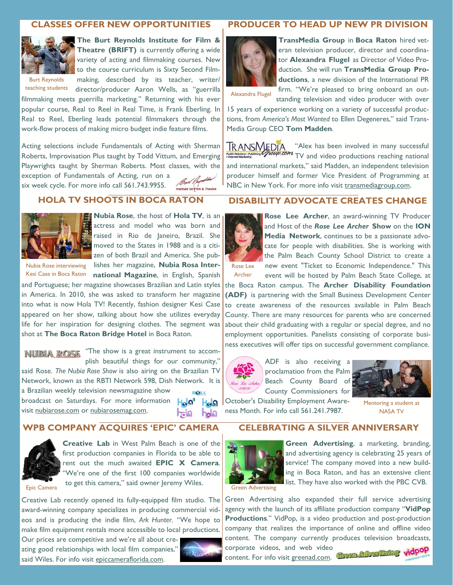# **CLASSES OFFER NEW OPPORTUNITIES**

filmmaking meets guerrilla marketing." Returning with his ever popular course, Real to Reel in Real Time, is Frank Eberling. In Real to Reel, Eberling leads potential filmmakers through the work-flow process of making micro budget indie feature films.

Acting selections include Fundamentals of Acting with Sherman Roberts, Improvisation Plus taught by Todd Vittum, and Emerging Playwrights taught by Sherman Roberts. Most classes, with the

exception of Fundamentals of Acting, run on a six week cycle. For more info call 561.743.9955.



**The Burt Reynolds Institute for Film & Theatre (BRIFT)** is currently offering a wide variety of acting and filmmaking courses. New to the course curriculum is Sixty Second Filmmaking, described by its teacher, writer/

Burt Reynolds teaching students

# director/producer Aaron Wells, as "guerrilla

**TransMedia Group** in **Boca Raton** hired veteran television producer, director and coordinator **Alexandra Flugel** as Director of Video Production. She will run **TransMedia Group Productions**, a new division of the International PR firm. "We're pleased to bring onboard an out-

Alexandra Flugel

standing television and video producer with over 15 years of experience working on a variety of successful productions, from *America's Most Wanted* to Ellen Degeneres," said Trans-Media Group CEO **Tom Madden**.

**PRODUCER TO HEAD UP NEW PR DIVISION** 

**TRANSMEDIA** "Alex has been involved in many successful Troup.com TV and video productions reaching national and international markets," said Madden, an independent television producer himself and former Vice President of Programming at NBC in New York. For more info visit transmediagroup.com.

# **HOLA TV SHOOTS IN BOCA RATON**



**Nubia Rose**, the host of **Hola TV**, is an actress and model who was born and raised in Rio de Janeiro, Brazil. She

Bur Rey Institute for Film & Theatre

moved to the States in 1988 and is a citizen of both Brazil and America. She pub-Nubia Rose interviewing lishes her magazine, **Nubia Rosa Inter-**Kesi Case in Boca Raton **national Magazine**, in English, Spanish

and Portuguese; her magazine showcases Brazilian and Latin styles in America. In 2010, she was asked to transform her magazine into what is now Hola TV! Recently, fashion designer Kesi Case appeared on her show, talking about how she utilizes everyday life for her inspiration for designing clothes. The segment was shot at **The Boca Raton Bridge Hotel** in Boca Raton.

**NUBIA ROSE** "The show is a great instrument to accomplish beautiful things for our community," said Rose. *The Nubia Rose Show* is also airing on the Brazilian TV Network, known as the RBTI Network 598, Dish Network. It is a Brazilian weekly television newsmagazine show **HOLA** broadcast on Saturdays. For more information  $H_{\Omega}$   $\Omega^{\circ}$ 

visit nubiarose.com or nubiarosemag.com.

 $H_{\mathbf{Q}}\Omega$ bole **Dala** 

# **WPB COMPANY ACQUIRES 'EPIC' CAMERA**



**Creative Lab** in West Palm Beach is one of the first production companies in Florida to be able to rent out the much awaited **EPIC X Camera**. "We're one of the first 100 companies worldwide to get this camera," said owner Jeremy Wiles.

Epic Camera

Creative Lab recently opened its fully-equipped film studio. The award-winning company specializes in producing commercial videos and is producing the indie film, *Ark Hunter*. "We hope to make film equipment rentals more accessible to local productions.

Our prices are competitive and we're all about creating good relationships with local film companies," said Wiles. For info visit epiccameraflorida.com.



# **DISABILITY ADVOCATE CREATES CHANGE**



Archer

**Rose Lee Archer**, an award-winning TV Producer and Host of the *Rose Lee Archer* **Show** on the **ION Media Network**, continues to be a passionate advocate for people with disabilities. She is working with the Palm Beach County School District to create a new event "Ticket to Economic Independence." This event will be hosted by Palm Beach State College, at

the Boca Raton campus. The **Archer Disability Foundation (ADF)** is partnering with the Small Business Development Center to create awareness of the resources available in Palm Beach County. There are many resources for parents who are concerned about their child graduating with a regular or special degree, and no employment opportunities. Panelists consisting of corporate business executives will offer tips on successful government compliance.





October's Disability Employment Awareness Month. For info call 561.241.7987.

Mentoring a student at

NASA TV

# **CELEBRATING A SILVER ANNIVERSARY**



**Green Advertising**, a marketing, branding, and advertising agency is celebrating 25 years of service! The company moved into a new building in Boca Raton, and has an extensive client I list. They have also worked with the PBC CVB.

Green Advertising

Green Advertising also expanded their full service advertising agency with the launch of its affiliate production company "**VidPop Productions**." VidPop, is a video production and post-production company that realizes the importance of online and offline video content. The company currently produces television broadcasts, corporate videos, and web video content. For info visit greenad.com.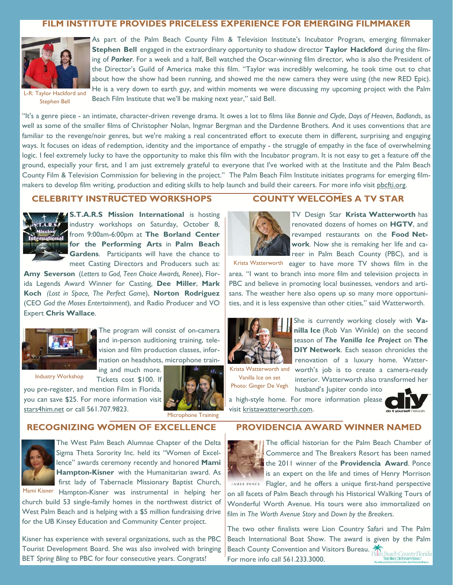# **FILM INSTITUTE PROVIDES PRICELESS EXPERIENCE FOR EMERGING FILMMAKER**



L-R: Taylor Hackford and Stephen Bell

As part of the Palm Beach County Film & Television Institute's Incubator Program, emerging filmmaker **Stephen Bell** engaged in the extraordinary opportunity to shadow director **Taylor Hackford** during the filming of *Parker*. For a week and a half, Bell watched the Oscar-winning film director, who is also the President of the Director's Guild of America make this film. "Taylor was incredibly welcoming, he took time out to chat about how the show had been running, and showed me the new camera they were using (the new RED Epic). He is a very down to earth guy, and within moments we were discussing my upcoming project with the Palm Beach Film Institute that we'll be making next year," said Bell.

"It's a genre piece - an intimate, character-driven revenge drama. It owes a lot to films like *Bonnie and Clyde*, *Days of Heaven*, *Badlands*, as well as some of the smaller films of Christopher Nolan, Ingmar Bergman and the Dardenne Brothers. And it uses conventions that are familiar to the revenge/noir genres, but we're making a real concentrated effort to execute them in different, surprising and engaging ways. It focuses on ideas of redemption, identity and the importance of empathy - the struggle of empathy in the face of overwhelming logic. I feel extremely lucky to have the opportunity to make this film with the Incubator program. It is not easy to get a feature off the ground, especially your first, and I am just extremely grateful to everyone that I've worked with at the Institute and the Palm Beach County Film & Television Commission for believing in the project." The Palm Beach Film Institute initiates programs for emerging filmmakers to develop film writing, production and editing skills to help launch and build their careers. For more info visit pbcfti.org.

# **CELEBRITY INSTRUCTED WORKSHOPS**



**S.T.A.R.S Mission International** is hosting industry workshops on Saturday, October 8, **Mission**<br>**iteruational** from 9:00am-6:00pm at The Borland Center **for the Performing Arts** in **Palm Beach Gardens**. Participants will have the chance to meet Casting Directors and Producers such as:

**Amy Severson** (*Letters to God, Teen Choice Awards, Renee*), Florida Legends Award Winner for Casting, **Dee Miller**, **Mark Koch** *(Lost in Space, The Perfect Game*), **Norton Rodriguez** (CEO *God the Moses Entertainment*), and Radio Producer and VO Expert **Chris Wallace**.



The program will consist of on-camera and in-person auditioning training, television and film production classes, information on headshots, microphone train-

Industry Workshop

ing and much more. Tickets cost \$100. If

you pre-register, and mention Film in Florida, you can save \$25. For more information visit stars4him.net or call 561.707.9823.



Microphone Training

# **RECOGNIZING WOMEN OF EXCELLENCE**



The West Palm Beach Alumnae Chapter of the Delta Sigma Theta Sorority Inc. held its "Women of Excellence" awards ceremony recently and honored **Mami Hampton-Kisner** with the Humanitarian award. As first lady of Tabernacle Missionary Baptist Church,

Mami Kisner Hampton-Kisner was instrumental in helping her church build 53 single-family homes in the northwest district of West Palm Beach and is helping with a \$5 million fundraising drive for the UB Kinsey Education and Community Center project.

Kisner has experience with several organizations, such as the PBC Tourist Development Board. She was also involved with bringing BET *Spring Bling* to PBC for four consecutive years. Congrats!

## **COUNTY WELCOMES A TV STAR**



TV Design Star **Krista Watterworth** has renovated dozens of homes on **HGTV**, and revamped restaurants on the **Food Network**. Now she is remaking her life and career in Palm Beach County (PBC), and is

Krista Watterworth eager to have more TV shows film in the area. "I want to branch into more film and television projects in PBC and believe in promoting local businesses, vendors and artisans. The weather here also opens up so many more opportunities, and it is less expensive than other cities," said Watterworth.



She is currently working closely with **Vanilla Ice** (Rob Van Winkle) on the second season of *The Vanilla Ice Project* on **The DIY Network**. Each season chronicles the

Vanilla Ice on set Photo: Ginger De Vegh

renovation of a luxury home. Watter-Krista Watterworth and worth's job is to create a camera-ready interior. Watterworth also transformed her husband's Jupiter condo into

a high-style home. For more information please visit kristawatterworth.com.



**PROVIDENCIA AWARD WINNER NAMED** 



The official historian for the Palm Beach Chamber of Commerce and The Breakers Resort has been named the 2011 winner of the **Providencia Award**. Ponce is an expert on the life and times of Henry Morrison

IAMES PONCE Flagler, and he offers a unique first-hand perspective on all facets of Palm Beach through his Historical Walking Tours of Wonderful Worth Avenue. His tours were also immortalized on film in *The Worth Avenue Story* and *Down by the Breakers*.

The two other finalists were Lion Country Safari and The Palm Beach International Boat Show. The award is given by the Palm Beach County Convention and Visitors Bureau. For more info call 561.233.3000.